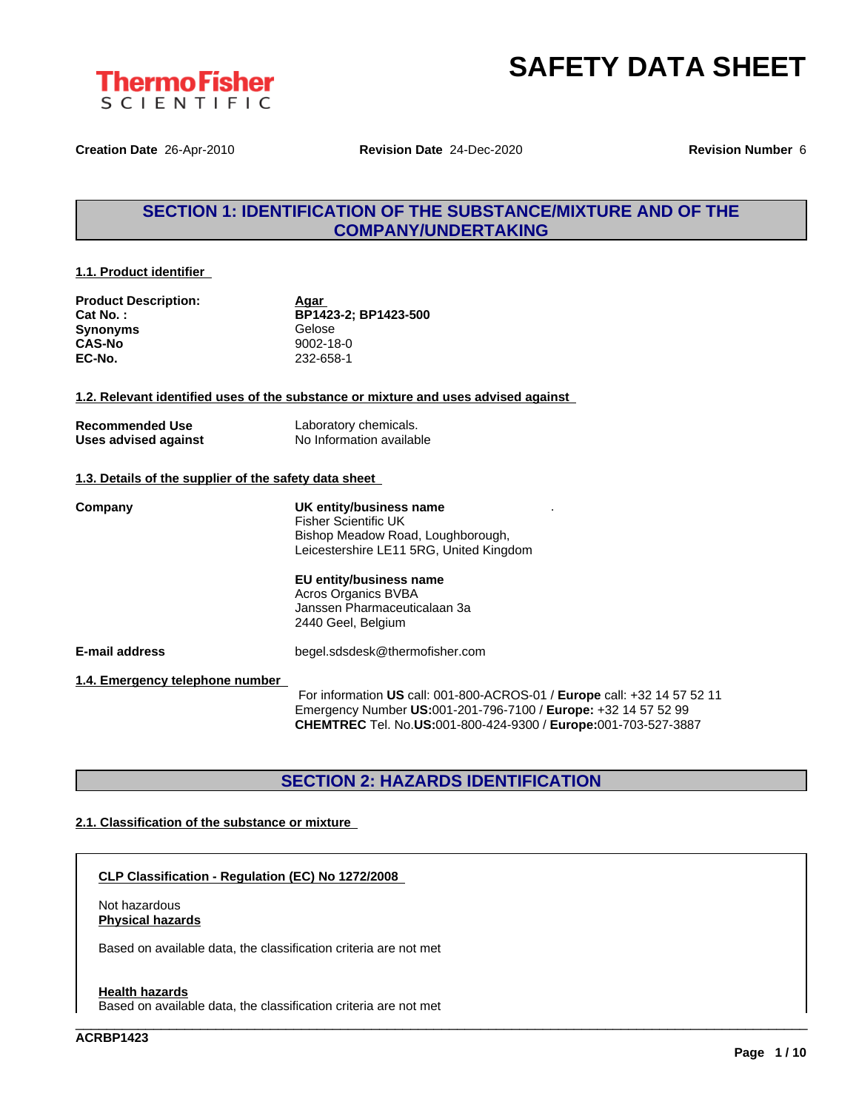



**Creation Date** 26-Apr-2010 **Revision Date** 24-Dec-2020 **Revision Number** 6

### **SECTION 1: IDENTIFICATION OF THE SUBSTANCE/MIXTURE AND OF THE COMPANY/UNDERTAKING**

#### **1.1. Product identifier**

| <b>Product Description:</b> | Aqar                 |  |
|-----------------------------|----------------------|--|
| Cat No. :                   | BP1423-2: BP1423-500 |  |
| Synonyms                    | Gelose               |  |
| CAS-No                      | 9002-18-0            |  |
| EC-No.                      | 232-658-1            |  |

**1.2. Relevant identified uses of the substance or mixture and uses advised against**

| <b>Recommended Use</b> | Laboratory chemicals.    |
|------------------------|--------------------------|
| Uses advised against   | No Information available |

#### **1.3. Details of the supplier of the safety data sheet**

| Company                         | UK entity/business name<br>Fisher Scientific UK<br>Bishop Meadow Road, Loughborough,<br>Leicestershire LE11 5RG, United Kingdom                                                                                     |
|---------------------------------|---------------------------------------------------------------------------------------------------------------------------------------------------------------------------------------------------------------------|
|                                 | EU entity/business name<br><b>Acros Organics BVBA</b><br>Janssen Pharmaceuticalaan 3a<br>2440 Geel, Belgium                                                                                                         |
| <b>E-mail address</b>           | begel.sdsdesk@thermofisher.com                                                                                                                                                                                      |
| 1.4. Emergency telephone number | For information US call: 001-800-ACROS-01 / Europe call: +32 14 57 52 11<br>Emergency Number US:001-201-796-7100 / Europe: +32 14 57 52 99<br><b>CHEMTREC</b> Tel. No.US:001-800-424-9300 / Europe:001-703-527-3887 |

### **SECTION 2: HAZARDS IDENTIFICATION**

\_\_\_\_\_\_\_\_\_\_\_\_\_\_\_\_\_\_\_\_\_\_\_\_\_\_\_\_\_\_\_\_\_\_\_\_\_\_\_\_\_\_\_\_\_\_\_\_\_\_\_\_\_\_\_\_\_\_\_\_\_\_\_\_\_\_\_\_\_\_\_\_\_\_\_\_\_\_\_\_\_\_\_\_\_\_\_\_\_\_\_\_\_\_

#### **2.1. Classification of the substance or mixture**

**CLP Classification - Regulation (EC) No 1272/2008**

Not hazardous **Physical hazards**

Based on available data, the classification criteria are not met

#### **Health hazards**

Based on available data, the classification criteria are not met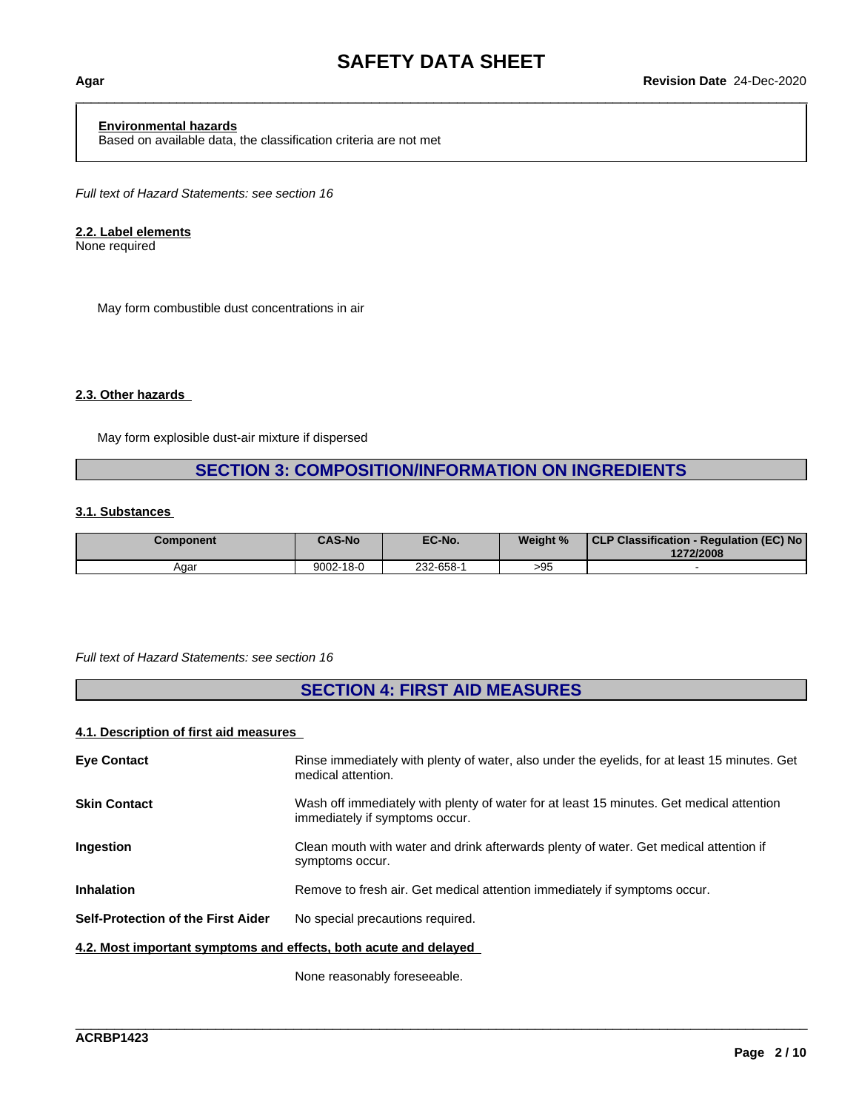## \_\_\_\_\_\_\_\_\_\_\_\_\_\_\_\_\_\_\_\_\_\_\_\_\_\_\_\_\_\_\_\_\_\_\_\_\_\_\_\_\_\_\_\_\_\_\_\_\_\_\_\_\_\_\_\_\_\_\_\_\_\_\_\_\_\_\_\_\_\_\_\_\_\_\_\_\_\_\_\_\_\_\_\_\_\_\_\_\_\_\_\_\_\_ **Agar Revision Date** 24-Dec-2020

#### **Environmental hazards**

Based on available data, the classification criteria are not met

*Full text of Hazard Statements: see section 16*

#### **2.2. Label elements**

None required

May form combustible dust concentrations in air

#### **2.3. Other hazards**

May form explosible dust-air mixture if dispersed

#### **SECTION 3: COMPOSITION/INFORMATION ON INGREDIENTS**

#### **3.1. Substances**

| Component | <b>CAS-No</b> | EC-No.    | Weight % | <b>CLP Classification -</b><br>- Regulation (EC) No<br>1272/2008 |
|-----------|---------------|-----------|----------|------------------------------------------------------------------|
| Aɑar      | 9002-18-0     | 232-658-1 | >95      |                                                                  |

#### *Full text of Hazard Statements: see section 16*

### **SECTION 4: FIRST AID MEASURES**

#### **4.1. Description of first aid measures**

| <b>Eye Contact</b>                                               | Rinse immediately with plenty of water, also under the eyelids, for at least 15 minutes. Get<br>medical attention.         |
|------------------------------------------------------------------|----------------------------------------------------------------------------------------------------------------------------|
| <b>Skin Contact</b>                                              | Wash off immediately with plenty of water for at least 15 minutes. Get medical attention<br>immediately if symptoms occur. |
| <b>Ingestion</b>                                                 | Clean mouth with water and drink afterwards plenty of water. Get medical attention if<br>symptoms occur.                   |
| <b>Inhalation</b>                                                | Remove to fresh air. Get medical attention immediately if symptoms occur.                                                  |
| <b>Self-Protection of the First Aider</b>                        | No special precautions required.                                                                                           |
| 4.2. Most important symptoms and effects, both acute and delayed |                                                                                                                            |
|                                                                  |                                                                                                                            |

\_\_\_\_\_\_\_\_\_\_\_\_\_\_\_\_\_\_\_\_\_\_\_\_\_\_\_\_\_\_\_\_\_\_\_\_\_\_\_\_\_\_\_\_\_\_\_\_\_\_\_\_\_\_\_\_\_\_\_\_\_\_\_\_\_\_\_\_\_\_\_\_\_\_\_\_\_\_\_\_\_\_\_\_\_\_\_\_\_\_\_\_\_\_

None reasonably foreseeable.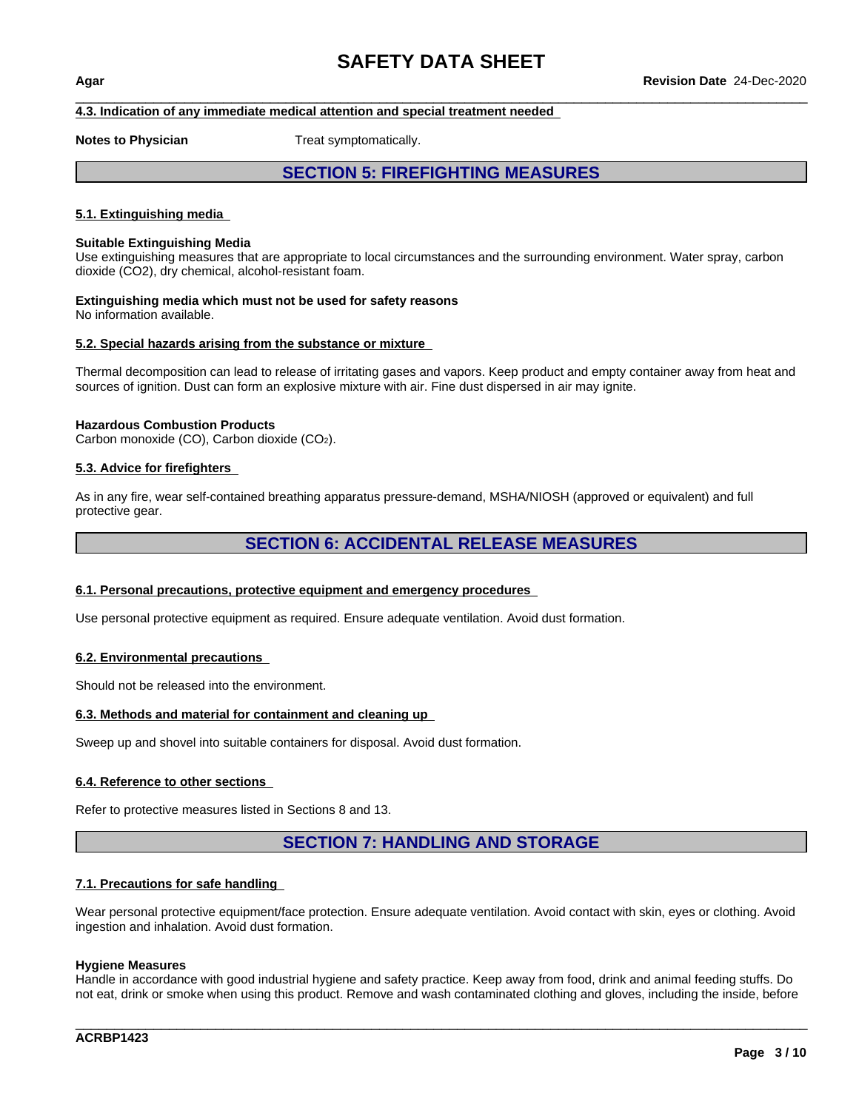#### **4.3. Indication of any immediate medical attention and special treatment needed**

**Notes to Physician** Treat symptomatically.

#### **SECTION 5: FIREFIGHTING MEASURES**

#### **5.1. Extinguishing media**

#### **Suitable Extinguishing Media**

Use extinguishing measures that are appropriate to local circumstances and the surrounding environment. Water spray, carbon dioxide (CO2), dry chemical, alcohol-resistant foam.

#### **Extinguishing media which must not be used for safety reasons** No information available.

#### **5.2. Special hazards arising from the substance or mixture**

Thermal decomposition can lead to release of irritating gases and vapors. Keep product and empty container away from heat and sources of ignition. Dust can form an explosive mixture with air. Fine dust dispersed in air may ignite.

#### **Hazardous Combustion Products**

Carbon monoxide (CO), Carbon dioxide (CO2).

#### **5.3. Advice for firefighters**

As in any fire, wear self-contained breathing apparatus pressure-demand, MSHA/NIOSH (approved or equivalent) and full protective gear.

#### **SECTION 6: ACCIDENTAL RELEASE MEASURES**

#### **6.1. Personal precautions, protective equipment and emergency procedures**

Use personal protective equipment as required. Ensure adequate ventilation. Avoid dust formation.

#### **6.2. Environmental precautions**

Should not be released into the environment.

#### **6.3. Methods and material for containment and cleaning up**

Sweep up and shovel into suitable containers for disposal. Avoid dust formation.

#### **6.4. Reference to other sections**

Refer to protective measures listed in Sections 8 and 13.

#### **SECTION 7: HANDLING AND STORAGE**

#### **7.1. Precautions for safe handling**

Wear personal protective equipment/face protection. Ensure adequate ventilation. Avoid contact with skin, eyes or clothing. Avoid ingestion and inhalation. Avoid dust formation.

#### **Hygiene Measures**

Handle in accordance with good industrial hygiene and safety practice. Keep away from food, drink and animal feeding stuffs. Do not eat, drink or smoke when using this product. Remove and wash contaminated clothing and gloves, including the inside, before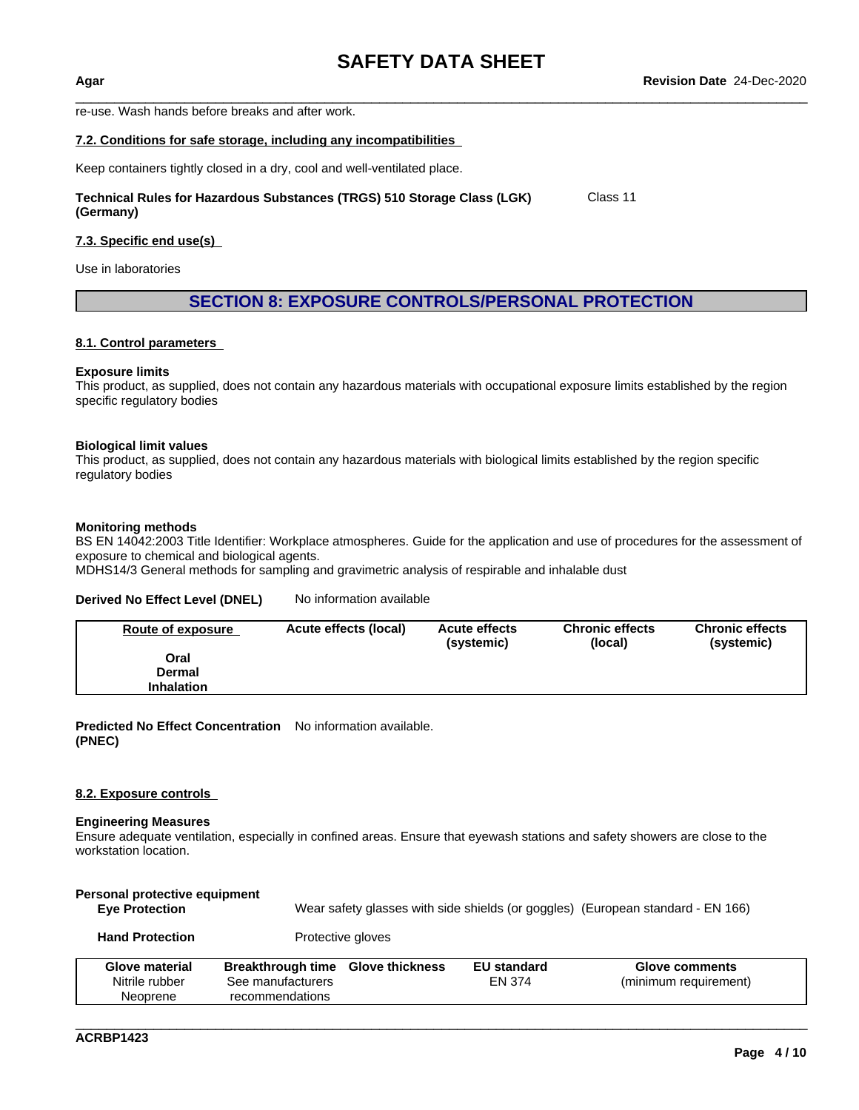re-use. Wash hands before breaks and after work.

#### **7.2. Conditions for safe storage, including any incompatibilities**

Keep containers tightly closed in a dry, cool and well-ventilated place.

**Technical Rules for Hazardous Substances (TRGS) 510 Storage Class (LGK) (Germany)** Class 11

#### **7.3. Specific end use(s)**

Use in laboratories

#### **SECTION 8: EXPOSURE CONTROLS/PERSONAL PROTECTION**

#### **8.1. Control parameters**

#### **Exposure limits**

This product, as supplied, does not contain any hazardous materials with occupational exposure limits established by the region specific regulatory bodies

#### **Biological limit values**

This product, as supplied, does not contain any hazardous materials with biological limits established by the region specific regulatory bodies

#### **Monitoring methods**

BS EN 14042:2003 Title Identifier: Workplace atmospheres. Guide for the application and use of procedures for the assessment of exposure to chemical and biological agents.

MDHS14/3 General methods for sampling and gravimetric analysis of respirable and inhalable dust

#### **Derived No Effect Level (DNEL)** No information available

| Route of exposure | Acute effects (local) | <b>Acute effects</b><br>(systemic) | <b>Chronic effects</b><br>(local) | <b>Chronic effects</b><br>(systemic) |
|-------------------|-----------------------|------------------------------------|-----------------------------------|--------------------------------------|
| Oral              |                       |                                    |                                   |                                      |
| Dermal            |                       |                                    |                                   |                                      |
| <b>Inhalation</b> |                       |                                    |                                   |                                      |

**Predicted No Effect Concentration** No information available. **(PNEC)**

#### **8.2. Exposure controls**

#### **Engineering Measures**

Ensure adequate ventilation, especially in confined areas. Ensure that eyewash stations and safety showers are close to the workstation location.

| Personal protective equipment<br><b>Eye Protection</b> | Wear safety glasses with side shields (or goggles) (European standard - EN 166) |                   |                              |                                         |
|--------------------------------------------------------|---------------------------------------------------------------------------------|-------------------|------------------------------|-----------------------------------------|
| <b>Hand Protection</b>                                 |                                                                                 | Protective gloves |                              |                                         |
| Glove material<br>Nitrile rubber                       | Breakthrough time Glove thickness<br>See manufacturers                          |                   | <b>EU standard</b><br>EN 374 | Glove comments<br>(minimum requirement) |
| Neoprene                                               | recommendations                                                                 |                   |                              |                                         |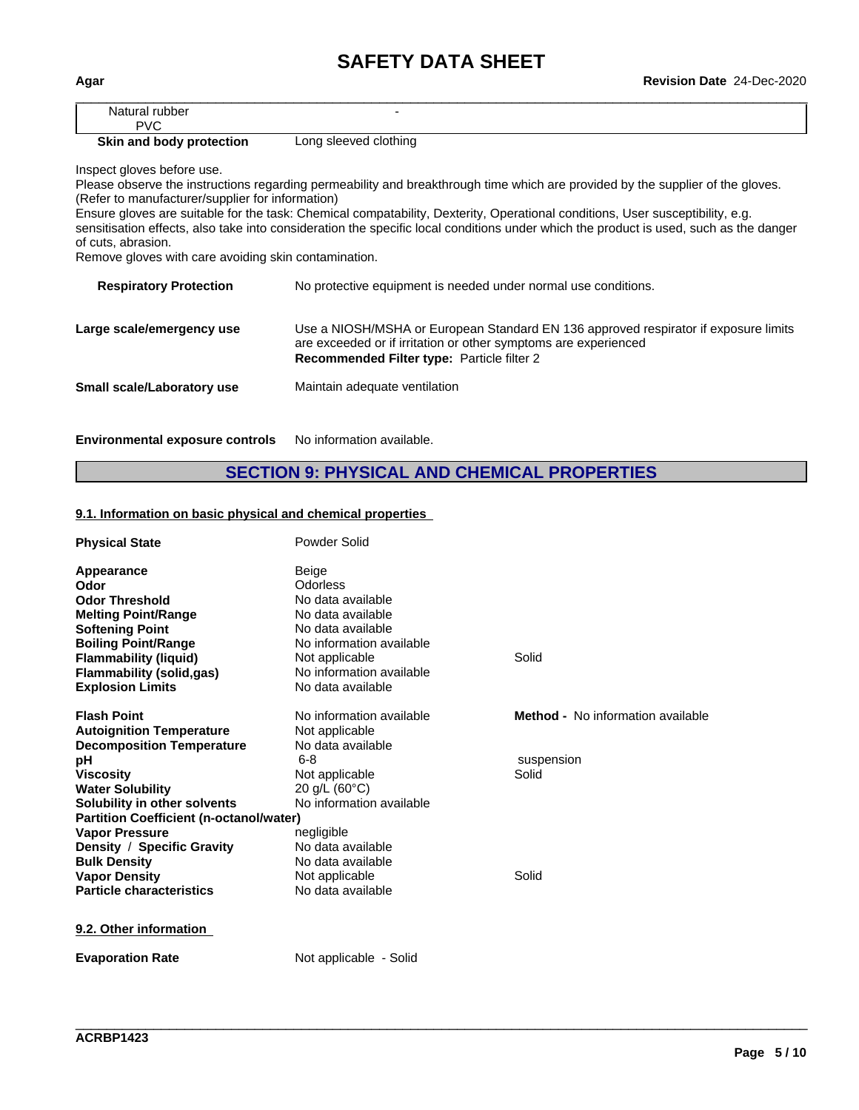| Agar                         | Revision Date 24-Dec-2020 |  |
|------------------------------|---------------------------|--|
| Natural rubber<br><b>PVC</b> |                           |  |

#### **Skin and body protection** Long sleeved clothing

Inspect gloves before use.

Please observe the instructions regarding permeability and breakthrough time which are provided by the supplier of the gloves. (Refer to manufacturer/supplier for information)

Ensure gloves are suitable for the task: Chemical compatability, Dexterity, Operational conditions, User susceptibility, e.g. sensitisation effects, also take into consideration the specific local conditions under which the product is used, such as the danger of cuts, abrasion.

Remove gloves with care avoiding skin contamination.

| <b>Respiratory Protection</b> | No protective equipment is needed under normal use conditions.                                                                                                                                       |
|-------------------------------|------------------------------------------------------------------------------------------------------------------------------------------------------------------------------------------------------|
| Large scale/emergency use     | Use a NIOSH/MSHA or European Standard EN 136 approved respirator if exposure limits<br>are exceeded or if irritation or other symptoms are experienced<br>Recommended Filter type: Particle filter 2 |
| Small scale/Laboratory use    | Maintain adequate ventilation                                                                                                                                                                        |
|                               |                                                                                                                                                                                                      |

**Environmental exposure controls** No information available.

### **SECTION 9: PHYSICAL AND CHEMICAL PROPERTIES**

#### **9.1. Information on basic physical and chemical properties**

| <b>Physical State</b>                          | Powder Solid             |                                   |
|------------------------------------------------|--------------------------|-----------------------------------|
| Appearance                                     | <b>Beige</b>             |                                   |
| Odor                                           | <b>Odorless</b>          |                                   |
| <b>Odor Threshold</b>                          | No data available        |                                   |
| <b>Melting Point/Range</b>                     | No data available        |                                   |
| <b>Softening Point</b>                         | No data available        |                                   |
| <b>Boiling Point/Range</b>                     | No information available |                                   |
| <b>Flammability (liquid)</b>                   | Not applicable           | Solid                             |
| <b>Flammability (solid,gas)</b>                | No information available |                                   |
| <b>Explosion Limits</b>                        | No data available        |                                   |
| <b>Flash Point</b>                             | No information available | Method - No information available |
| <b>Autoignition Temperature</b>                | Not applicable           |                                   |
| <b>Decomposition Temperature</b>               | No data available        |                                   |
| рH                                             | $6 - 8$                  | suspension                        |
| <b>Viscosity</b>                               | Not applicable           | Solid                             |
| <b>Water Solubility</b>                        | 20 g/L $(60^{\circ}C)$   |                                   |
| Solubility in other solvents                   | No information available |                                   |
| <b>Partition Coefficient (n-octanol/water)</b> |                          |                                   |
| <b>Vapor Pressure</b>                          | negligible               |                                   |
| Density / Specific Gravity                     | No data available        |                                   |
| <b>Bulk Density</b>                            | No data available        |                                   |
| <b>Vapor Density</b>                           | Not applicable           | Solid                             |
| <b>Particle characteristics</b>                | No data available        |                                   |
| 9.2. Other information                         |                          |                                   |
| <b>Evaporation Rate</b>                        | Not applicable - Solid   |                                   |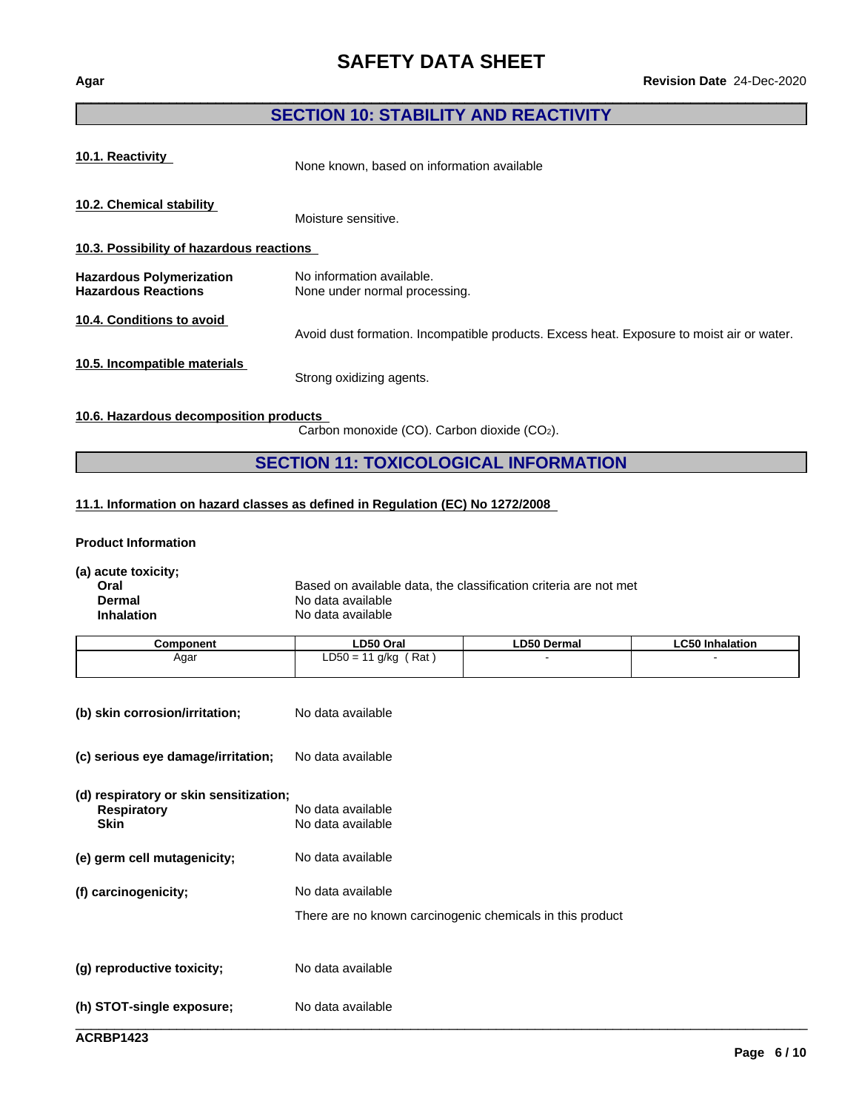#### **SECTION 10: STABILITY AND REACTIVITY**

**10.1. Reactivity** None known, based on information available

**10.2. Chemical stability**

Moisture sensitive.

**10.3. Possibility of hazardous reactions**

**Hazardous Polymerization** No information available.<br> **Hazardous Reactions** None under normal proce None under normal processing.

Avoid dust formation. Incompatible products. Excess heat. Exposure to moist air or water.

**10.5. Incompatible materials**

**10.4. Conditions to avoid**

Strong oxidizing agents.

**10.6. Hazardous decomposition products**

Carbon monoxide (CO). Carbon dioxide (CO2).

#### **SECTION 11: TOXICOLOGICAL INFORMATION**

#### **11.1. Information on hazard classes as defined in Regulation (EC) No 1272/2008**

**Product Information**

**(a) acute toxicity;**

**Oral** Based on available data, the classification criteria are not met<br> **Dermal** Based on available **Dermal** No data available **Inhalation** No data available

| Component | <b>LD50 Oral</b>        | LD50 Dermal | <b>LC50 Inhalation</b> |
|-----------|-------------------------|-------------|------------------------|
| Agar      | Rat<br>$LD50 =$<br>g/kg |             |                        |
|           |                         |             |                        |

| (b) skin corrosion/irritation;                                              | No data available                                                              |
|-----------------------------------------------------------------------------|--------------------------------------------------------------------------------|
| (c) serious eye damage/irritation;                                          | No data available                                                              |
| (d) respiratory or skin sensitization;<br><b>Respiratory</b><br><b>Skin</b> | No data available<br>No data available                                         |
| (e) germ cell mutagenicity;                                                 | No data available                                                              |
| (f) carcinogenicity;                                                        | No data available<br>There are no known carcinogenic chemicals in this product |
| (g) reproductive toxicity;                                                  | No data available                                                              |
| (h) STOT-single exposure;                                                   | No data available                                                              |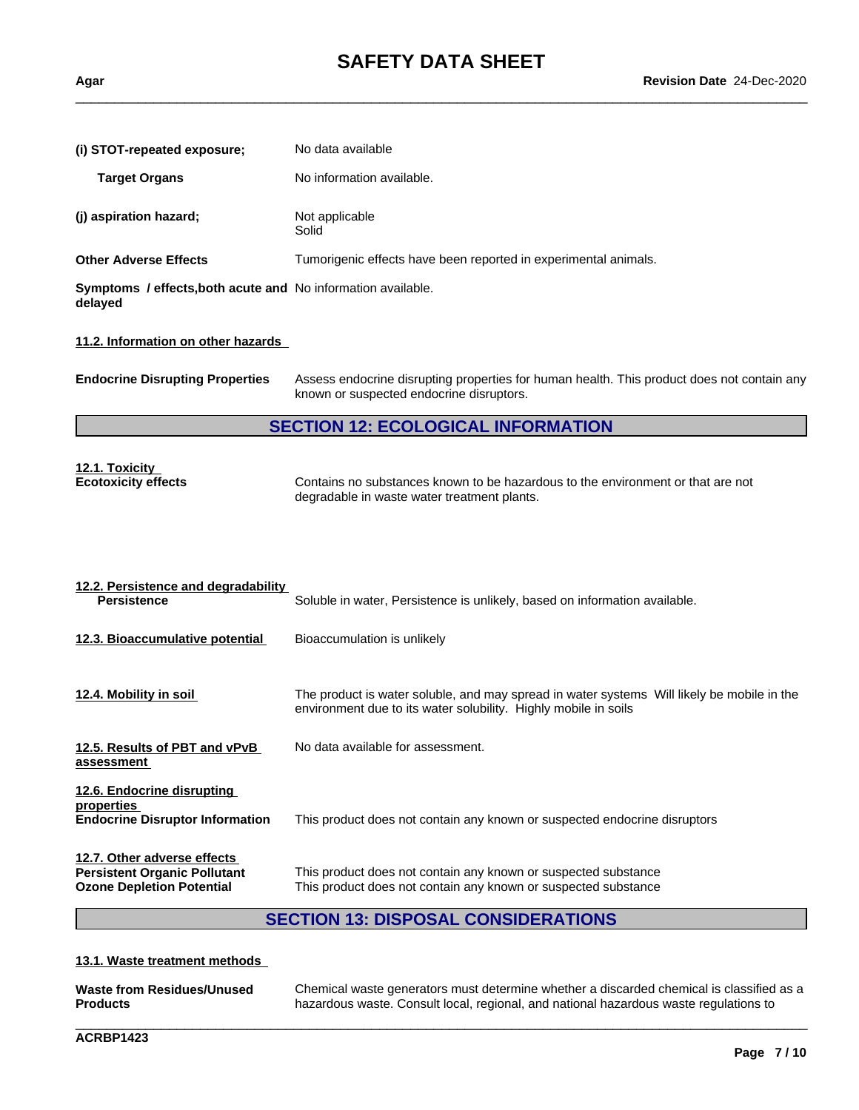| (i) STOT-repeated exposure;                                                                                                                                                                                                           | No data available                                                                                                                                             |  |  |  |  |
|---------------------------------------------------------------------------------------------------------------------------------------------------------------------------------------------------------------------------------------|---------------------------------------------------------------------------------------------------------------------------------------------------------------|--|--|--|--|
|                                                                                                                                                                                                                                       |                                                                                                                                                               |  |  |  |  |
| <b>Target Organs</b>                                                                                                                                                                                                                  | No information available.                                                                                                                                     |  |  |  |  |
| (j) aspiration hazard;                                                                                                                                                                                                                | Not applicable<br>Solid                                                                                                                                       |  |  |  |  |
| <b>Other Adverse Effects</b>                                                                                                                                                                                                          | Tumorigenic effects have been reported in experimental animals.                                                                                               |  |  |  |  |
| Symptoms / effects, both acute and No information available.<br>delayed                                                                                                                                                               |                                                                                                                                                               |  |  |  |  |
| 11.2. Information on other hazards                                                                                                                                                                                                    |                                                                                                                                                               |  |  |  |  |
| <b>Endocrine Disrupting Properties</b>                                                                                                                                                                                                | Assess endocrine disrupting properties for human health. This product does not contain any<br>known or suspected endocrine disruptors.                        |  |  |  |  |
|                                                                                                                                                                                                                                       | <b>SECTION 12: ECOLOGICAL INFORMATION</b>                                                                                                                     |  |  |  |  |
| <u>12.1. Toxicity</u><br><b>Ecotoxicity effects</b>                                                                                                                                                                                   | Contains no substances known to be hazardous to the environment or that are not<br>degradable in waste water treatment plants.                                |  |  |  |  |
|                                                                                                                                                                                                                                       |                                                                                                                                                               |  |  |  |  |
| <b>Persistence</b>                                                                                                                                                                                                                    | Soluble in water, Persistence is unlikely, based on information available.                                                                                    |  |  |  |  |
|                                                                                                                                                                                                                                       | Bioaccumulation is unlikely                                                                                                                                   |  |  |  |  |
|                                                                                                                                                                                                                                       | The product is water soluble, and may spread in water systems Will likely be mobile in the<br>environment due to its water solubility. Highly mobile in soils |  |  |  |  |
|                                                                                                                                                                                                                                       | No data available for assessment.                                                                                                                             |  |  |  |  |
| 12.2. Persistence and degradability<br>12.3. Bioaccumulative potential<br>12.4. Mobility in soil<br>12.5. Results of PBT and vPvB<br>assessment<br>12.6. Endocrine disrupting<br>properties<br><b>Endocrine Disruptor Information</b> | This product does not contain any known or suspected endocrine disruptors                                                                                     |  |  |  |  |

#### **13.1. Waste treatment methods**

| Waste from Residues/Unused | Chemical waste generators must determine whether a discarded chemical is classified as a |
|----------------------------|------------------------------------------------------------------------------------------|
| <b>Products</b>            | hazardous waste. Consult local, regional, and national hazardous waste regulations to    |

\_\_\_\_\_\_\_\_\_\_\_\_\_\_\_\_\_\_\_\_\_\_\_\_\_\_\_\_\_\_\_\_\_\_\_\_\_\_\_\_\_\_\_\_\_\_\_\_\_\_\_\_\_\_\_\_\_\_\_\_\_\_\_\_\_\_\_\_\_\_\_\_\_\_\_\_\_\_\_\_\_\_\_\_\_\_\_\_\_\_\_\_\_\_

**ACRBP1423**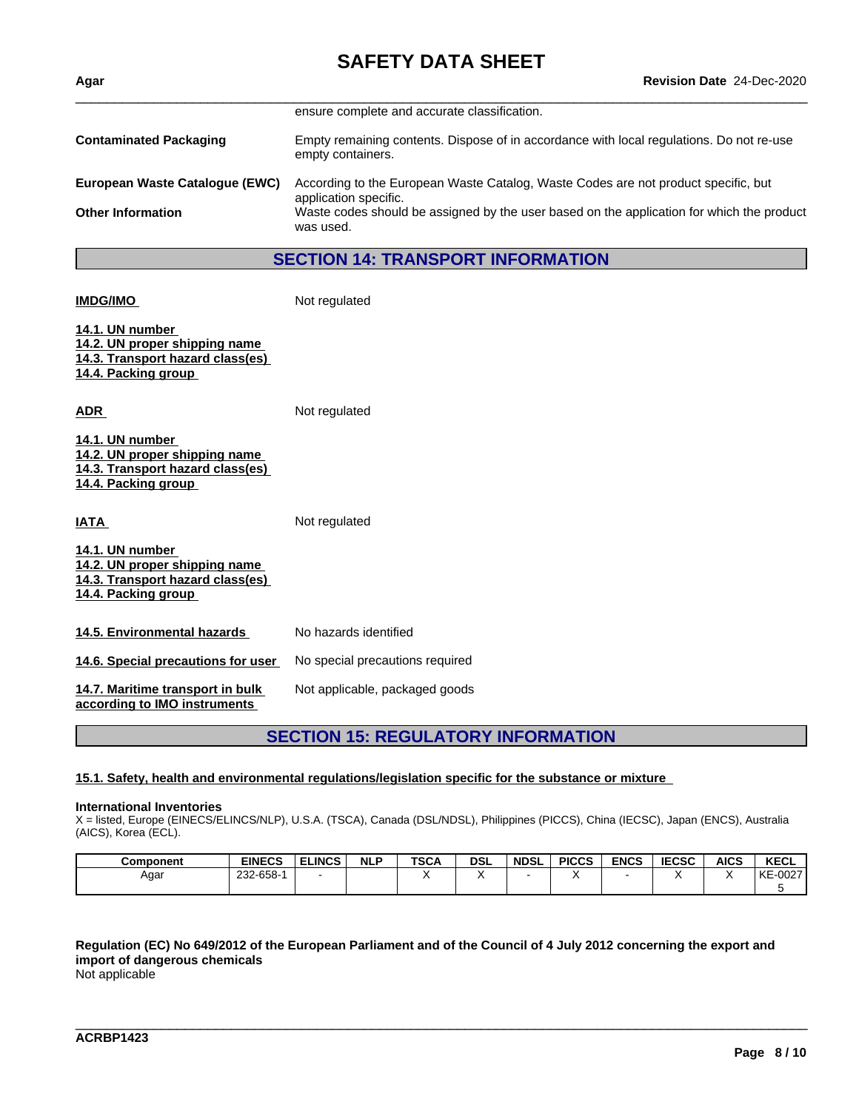| Agar                           | <b>Revision Date 24-Dec-2020</b>                                                                              |
|--------------------------------|---------------------------------------------------------------------------------------------------------------|
|                                | ensure complete and accurate classification.                                                                  |
| <b>Contaminated Packaging</b>  | Empty remaining contents. Dispose of in accordance with local regulations. Do not re-use<br>empty containers. |
| European Waste Catalogue (EWC) | According to the European Waste Catalog, Waste Codes are not product specific, but<br>application specific.   |
| <b>Other Information</b>       | Waste codes should be assigned by the user based on the application for which the product<br>was used.        |
|                                | <b>SECTION 14: TRANSPORT INFORMATION</b>                                                                      |
|                                |                                                                                                               |
| <b>IMDG/IMO</b>                | Not regulated                                                                                                 |

**14.1. UN number 14.2. UN proper shipping name 14.3. Transport hazard class(es) 14.4. Packing group**

**ADR** Not regulated

| 14.1. UN number                  |  |
|----------------------------------|--|
| 14.2. UN proper shipping name    |  |
| 14.3. Transport hazard class(es) |  |
| 14.4. Packing group              |  |

**IATA** Not regulated

| 14.1. UN number                  |  |
|----------------------------------|--|
| 14.2. UN proper shipping name    |  |
| 14.3. Transport hazard class(es) |  |
| 14.4. Packing group              |  |
|                                  |  |

| 14.5. Environmental hazards        | No hazards identified           |
|------------------------------------|---------------------------------|
| 14.6. Special precautions for user | No special precautions required |

**14.7. Maritime transport in bulk according to IMO instruments**

#### **SECTION 15: REGULATORY INFORMATION**

#### **15.1. Safety, health and environmental regulations/legislation specific for the substance or mixture**

Not applicable, packaged goods

#### **International Inventories**

X = listed, Europe (EINECS/ELINCS/NLP), U.S.A. (TSCA), Canada (DSL/NDSL), Philippines (PICCS), China (IECSC), Japan (ENCS), Australia (AICS), Korea (ECL).

| <b>Component</b> | <b>EINECS</b> | <b>ELINCS</b> | <b>NLP</b> | <b>TSCA</b> | <b>DSL</b> | <b>NDSL</b> | <b>PICCS</b> | <b>ENCS</b> | <b>IECSC</b> | <b>AICS</b> | <b>KECL</b>   |
|------------------|---------------|---------------|------------|-------------|------------|-------------|--------------|-------------|--------------|-------------|---------------|
| Agar             | 232-658-      |               |            |             |            |             |              |             |              |             | $-0027$<br>KE |
|                  |               |               |            |             |            |             |              |             |              |             |               |

Regulation (EC) No 649/2012 of the European Parliament and of the Council of 4 July 2012 concerning the export and **import of dangerous chemicals**

\_\_\_\_\_\_\_\_\_\_\_\_\_\_\_\_\_\_\_\_\_\_\_\_\_\_\_\_\_\_\_\_\_\_\_\_\_\_\_\_\_\_\_\_\_\_\_\_\_\_\_\_\_\_\_\_\_\_\_\_\_\_\_\_\_\_\_\_\_\_\_\_\_\_\_\_\_\_\_\_\_\_\_\_\_\_\_\_\_\_\_\_\_\_

Not applicable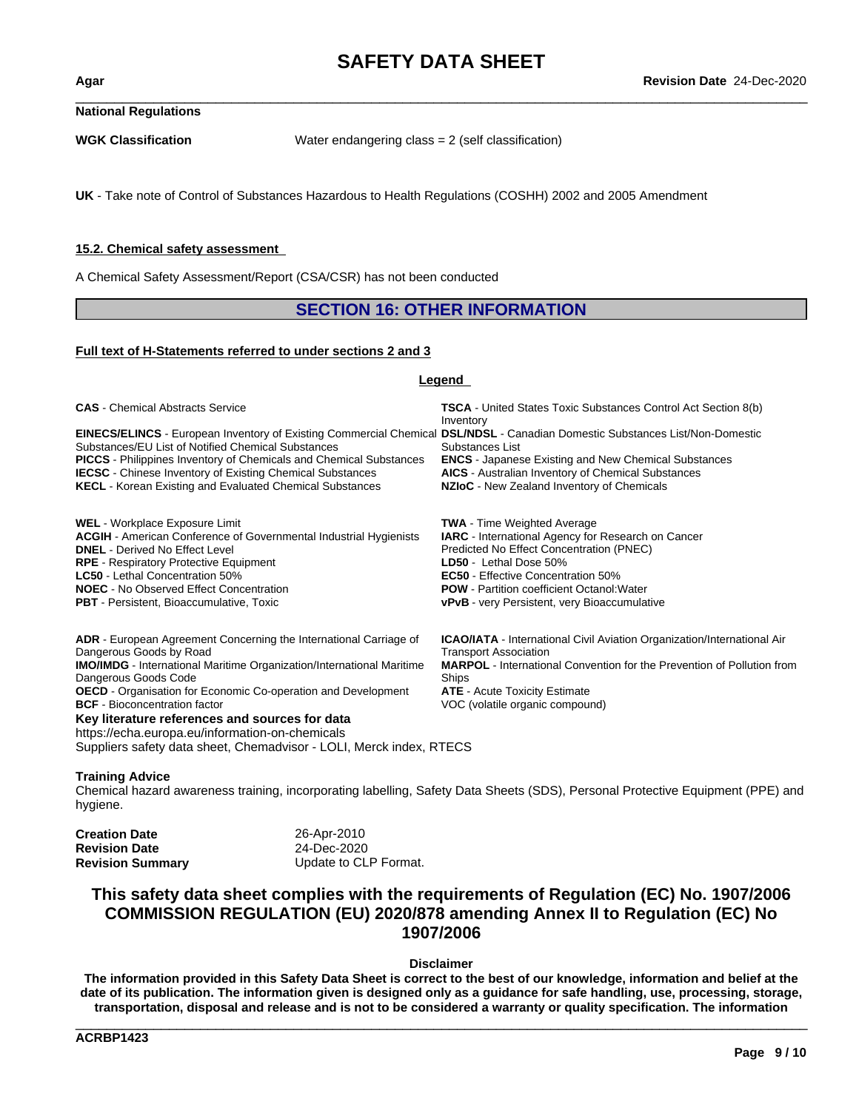**National Regulations**

**WGK Classification** Water endangering class = 2 (self classification)

**UK** - Take note of Control of Substances Hazardous to Health Regulations (COSHH) 2002 and 2005 Amendment

#### **15.2. Chemical safety assessment**

A Chemical Safety Assessment/Report (CSA/CSR) has not been conducted

#### **SECTION 16: OTHER INFORMATION**

#### **Full text of H-Statements referred to undersections 2 and 3**

#### **Legend**

| <b>CAS</b> - Chemical Abstracts Service                                                                                             | <b>TSCA</b> - United States Toxic Substances Control Act Section 8(b)<br>Inventory |
|-------------------------------------------------------------------------------------------------------------------------------------|------------------------------------------------------------------------------------|
| <b>EINECS/ELINCS</b> - European Inventory of Existing Commercial Chemical DSL/NDSL - Canadian Domestic Substances List/Non-Domestic |                                                                                    |
| Substances/EU List of Notified Chemical Substances                                                                                  | Substances List                                                                    |
| <b>PICCS</b> - Philippines Inventory of Chemicals and Chemical Substances                                                           | <b>ENCS</b> - Japanese Existing and New Chemical Substances                        |
| <b>IECSC</b> - Chinese Inventory of Existing Chemical Substances                                                                    | <b>AICS</b> - Australian Inventory of Chemical Substances                          |
| <b>KECL</b> - Korean Existing and Evaluated Chemical Substances                                                                     | NZIoC - New Zealand Inventory of Chemicals                                         |
| <b>WEL</b> - Workplace Exposure Limit                                                                                               | <b>TWA</b> - Time Weighted Average                                                 |
| <b>ACGIH</b> - American Conference of Governmental Industrial Hygienists                                                            | <b>IARC</b> - International Agency for Research on Cancer                          |
| <b>DNEL</b> - Derived No Effect Level                                                                                               | Predicted No Effect Concentration (PNEC)                                           |
| <b>RPE</b> - Respiratory Protective Equipment                                                                                       | LD50 - Lethal Dose 50%                                                             |
| <b>LC50</b> - Lethal Concentration 50%                                                                                              | <b>EC50</b> - Effective Concentration 50%                                          |
| <b>NOEC</b> - No Observed Effect Concentration                                                                                      | <b>POW</b> - Partition coefficient Octanol: Water                                  |
| <b>PBT</b> - Persistent, Bioaccumulative, Toxic                                                                                     | <b>vPvB</b> - very Persistent, very Bioaccumulative                                |
| <b>ADR</b> - European Agreement Concerning the International Carriage of                                                            | <b>ICAO/IATA</b> - International Civil Aviation Organization/International Air     |
| Dangerous Goods by Road                                                                                                             | <b>Transport Association</b>                                                       |
| <b>IMO/IMDG</b> - International Maritime Organization/International Maritime                                                        | <b>MARPOL</b> - International Convention for the Prevention of Pollution from      |
| Dangerous Goods Code                                                                                                                | Ships                                                                              |
| OECD - Organisation for Economic Co-operation and Development                                                                       | <b>ATE</b> - Acute Toxicity Estimate                                               |
| <b>BCF</b> - Bioconcentration factor                                                                                                | VOC (volatile organic compound)                                                    |
| Key literature references and sources for data                                                                                      |                                                                                    |
| https://echa.europa.eu/information-on-chemicals                                                                                     |                                                                                    |
| Suppliers safety data sheet, Chemadvisor - LOLI, Merck index, RTECS                                                                 |                                                                                    |

#### **Training Advice**

Chemical hazard awareness training, incorporating labelling, Safety Data Sheets (SDS), Personal Protective Equipment (PPE) and hygiene.

| <b>Creation Date</b> | 26-Apr-2010           |
|----------------------|-----------------------|
| Revision Date        | 24-Dec-2020           |
| Revision Summary     | Update to CLP Format. |

### **This safety data sheet complies with the requirements of Regulation (EC) No. 1907/2006 COMMISSION REGULATION (EU) 2020/878 amending Annex II to Regulation (EC) No 1907/2006**

**Disclaimer**

The information provided in this Safety Data Sheet is correct to the best of our knowledge, information and belief at the date of its publication. The information given is designed only as a guidance for safe handling, use, processing, storage, transportation, disposal and release and is not to be considered a warranty or quality specification. The information